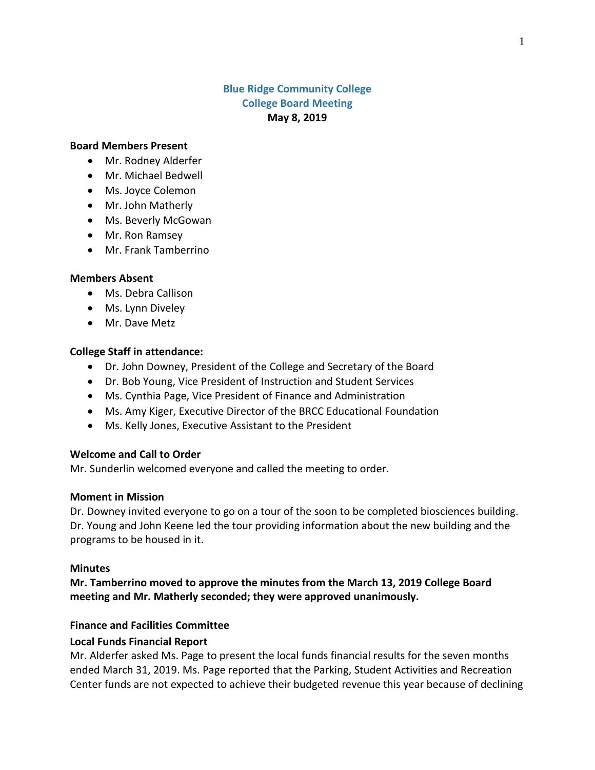# **Blue Ridge Community College College Board Meeting May 8, 2019**

#### **Board Members Present**

- Mr. Rodney Alderfer
- Mr. Michael Bedwell
- Ms. Joyce Colemon
- Mr. John Matherly
- Ms. Beverly McGowan
- Mr. Ron Ramsey
- Mr. Frank Tamberrino

### **Members Absent**

- Ms. Debra Callison
- Ms. Lynn Diveley
- Mr. Dave Metz

### **College Staff in attendance:**

- Dr. John Downey, President of the College and Secretary of the Board
- Dr. Bob Young, Vice President of Instruction and Student Services
- Ms. Cynthia Page, Vice President of Finance and Administration
- Ms. Amy Kiger, Executive Director of the BRCC Educational Foundation
- Ms. Kelly Jones, Executive Assistant to the President

## **Welcome and Call to Order**

Mr. Sunderlin welcomed everyone and called the meeting to order.

## **Moment in Mission**

Dr. Downey invited everyone to go on a tour of the soon to be completed biosciences building. Dr. Young and John Keene led the tour providing information about the new building and the programs to be housed in it.

#### **Minutes**

**Mr. Tamberrino moved to approve the minutes from the March 13, 2019 College Board meeting and Mr. Matherly seconded; they were approved unanimously.**

## **Finance and Facilities Committee**

## **Local Funds Financial Report**

Mr. Alderfer asked Ms. Page to present the local funds financial results for the seven months ended March 31, 2019. Ms. Page reported that the Parking, Student Activities and Recreation Center funds are not expected to achieve their budgeted revenue this year because of declining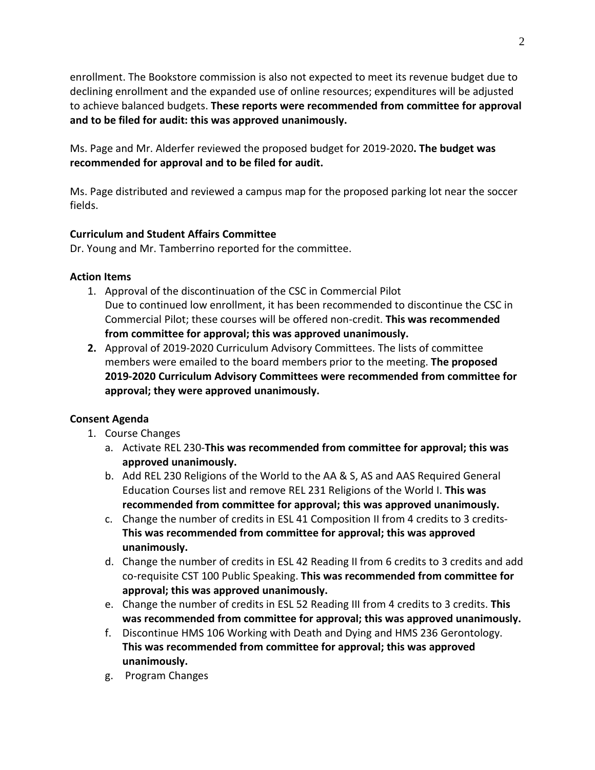enrollment. The Bookstore commission is also not expected to meet its revenue budget due to declining enrollment and the expanded use of online resources; expenditures will be adjusted to achieve balanced budgets. **These reports were recommended from committee for approval and to be filed for audit: this was approved unanimously.**

Ms. Page and Mr. Alderfer reviewed the proposed budget for 2019-2020**. The budget was recommended for approval and to be filed for audit.**

Ms. Page distributed and reviewed a campus map for the proposed parking lot near the soccer fields.

# **Curriculum and Student Affairs Committee**

Dr. Young and Mr. Tamberrino reported for the committee.

## **Action Items**

- 1. Approval of the discontinuation of the CSC in Commercial Pilot Due to continued low enrollment, it has been recommended to discontinue the CSC in Commercial Pilot; these courses will be offered non-credit. **This was recommended from committee for approval; this was approved unanimously.**
- **2.** Approval of 2019-2020 Curriculum Advisory Committees. The lists of committee members were emailed to the board members prior to the meeting. **The proposed 2019-2020 Curriculum Advisory Committees were recommended from committee for approval; they were approved unanimously.**

# **Consent Agenda**

- 1. Course Changes
	- a. Activate REL 230-**This was recommended from committee for approval; this was approved unanimously.**
	- b. Add REL 230 Religions of the World to the AA & S, AS and AAS Required General Education Courses list and remove REL 231 Religions of the World I. **This was recommended from committee for approval; this was approved unanimously.**
	- c. Change the number of credits in ESL 41 Composition II from 4 credits to 3 credits-**This was recommended from committee for approval; this was approved unanimously.**
	- d. Change the number of credits in ESL 42 Reading II from 6 credits to 3 credits and add co-requisite CST 100 Public Speaking. **This was recommended from committee for approval; this was approved unanimously.**
	- e. Change the number of credits in ESL 52 Reading III from 4 credits to 3 credits. **This was recommended from committee for approval; this was approved unanimously.**
	- f. Discontinue HMS 106 Working with Death and Dying and HMS 236 Gerontology. **This was recommended from committee for approval; this was approved unanimously.**
	- g. Program Changes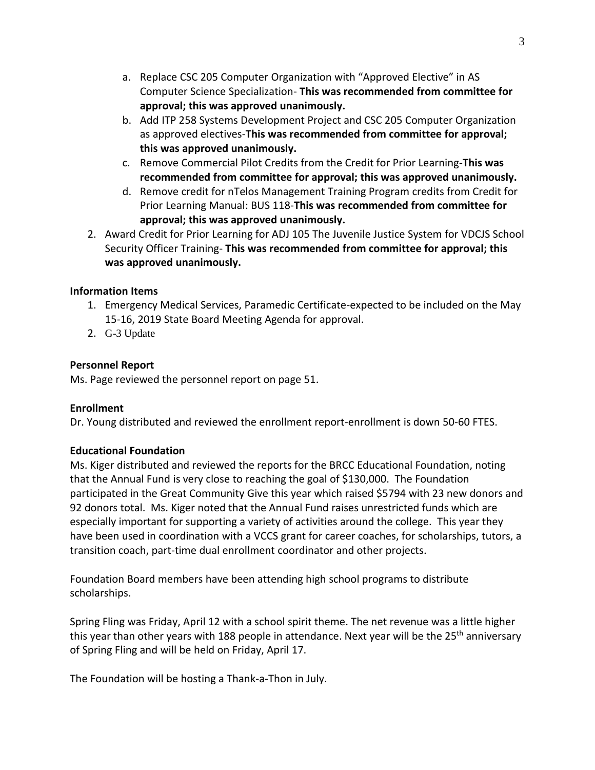- a. Replace CSC 205 Computer Organization with "Approved Elective" in AS Computer Science Specialization- **This was recommended from committee for approval; this was approved unanimously.**
- b. Add ITP 258 Systems Development Project and CSC 205 Computer Organization as approved electives-**This was recommended from committee for approval; this was approved unanimously.**
- c. Remove Commercial Pilot Credits from the Credit for Prior Learning-**This was recommended from committee for approval; this was approved unanimously.**
- d. Remove credit for nTelos Management Training Program credits from Credit for Prior Learning Manual: BUS 118-**This was recommended from committee for approval; this was approved unanimously.**
- 2. Award Credit for Prior Learning for ADJ 105 The Juvenile Justice System for VDCJS School Security Officer Training- **This was recommended from committee for approval; this was approved unanimously.**

# **Information Items**

- 1. Emergency Medical Services, Paramedic Certificate-expected to be included on the May 15-16, 2019 State Board Meeting Agenda for approval.
- 2. G-3 Update

# **Personnel Report**

Ms. Page reviewed the personnel report on page 51.

## **Enrollment**

Dr. Young distributed and reviewed the enrollment report-enrollment is down 50-60 FTES.

## **Educational Foundation**

Ms. Kiger distributed and reviewed the reports for the BRCC Educational Foundation, noting that the Annual Fund is very close to reaching the goal of \$130,000. The Foundation participated in the Great Community Give this year which raised \$5794 with 23 new donors and 92 donors total. Ms. Kiger noted that the Annual Fund raises unrestricted funds which are especially important for supporting a variety of activities around the college. This year they have been used in coordination with a VCCS grant for career coaches, for scholarships, tutors, a transition coach, part-time dual enrollment coordinator and other projects.

Foundation Board members have been attending high school programs to distribute scholarships.

Spring Fling was Friday, April 12 with a school spirit theme. The net revenue was a little higher this year than other years with 188 people in attendance. Next year will be the 25<sup>th</sup> anniversary of Spring Fling and will be held on Friday, April 17.

The Foundation will be hosting a Thank-a-Thon in July.